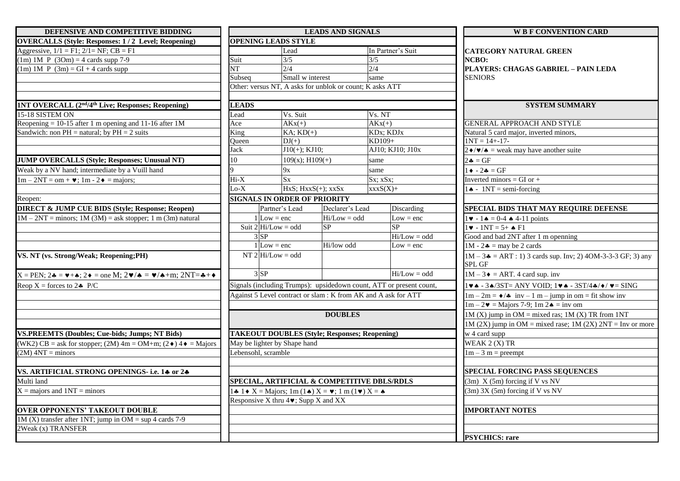| DEFENSIVE AND COMPETITIVE BIDDING                                                                                                         |                                                                                                                            |                                                          | <b>LEADS AND SIGNALS</b> |                                                                            | <b>W B F CONVENTION CARD</b>                                             |                                                                                                           |  |
|-------------------------------------------------------------------------------------------------------------------------------------------|----------------------------------------------------------------------------------------------------------------------------|----------------------------------------------------------|--------------------------|----------------------------------------------------------------------------|--------------------------------------------------------------------------|-----------------------------------------------------------------------------------------------------------|--|
| <b>OVERCALLS (Style: Responses: 1/2 Level; Reopening)</b>                                                                                 |                                                                                                                            | <b>OPENING LEADS STYLE</b>                               |                          |                                                                            |                                                                          |                                                                                                           |  |
| Aggressive, $1/1 = F1$ ; $2/1 = NF$ ; $CB = F1$                                                                                           | Lead                                                                                                                       |                                                          | In Partner's Suit        |                                                                            | <b>CATEGORY NATURAL GREEN</b>                                            |                                                                                                           |  |
| $(1m)$ 1M P $(3Om) = 4$ cards supp 7-9                                                                                                    | Suit                                                                                                                       | 3/5                                                      |                          | 3/5                                                                        |                                                                          | NCBO:                                                                                                     |  |
| $(1m)$ 1M P $(3m)$ = GI + 4 cards supp                                                                                                    | NT                                                                                                                         | 2/4                                                      |                          | 2/4                                                                        |                                                                          | PLAYERS: CHAGAS GABRIEL - PAIN LEDA                                                                       |  |
|                                                                                                                                           | Subseq                                                                                                                     | Small w interest                                         |                          | same                                                                       |                                                                          | <b>SENIORS</b>                                                                                            |  |
|                                                                                                                                           |                                                                                                                            | Other: versus NT, A asks for unblok or count; K asks ATT |                          |                                                                            |                                                                          |                                                                                                           |  |
|                                                                                                                                           |                                                                                                                            |                                                          |                          |                                                                            |                                                                          |                                                                                                           |  |
| <b>1NT OVERCALL (2<sup>nd</sup>/4<sup>th</sup> Live; Responses; Reopening)</b>                                                            | <b>LEADS</b>                                                                                                               |                                                          |                          |                                                                            |                                                                          | <b>SYSTEM SUMMARY</b>                                                                                     |  |
| 15-18 SISTEM ON                                                                                                                           | Vs. Suit<br>Lead                                                                                                           |                                                          |                          | Vs. NT                                                                     |                                                                          |                                                                                                           |  |
| Reopening $= 10-15$ after 1 m opening and 11-16 after 1M                                                                                  | Ace<br>$AKx(+)$                                                                                                            |                                                          |                          | $AKx(+)$                                                                   |                                                                          | <b>GENERAL APPROACH AND STYLE</b>                                                                         |  |
| Sandwich: non $PH =$ natural; by $PH = 2$ suits                                                                                           | King<br>$KA$ ; $KD$ (+)                                                                                                    |                                                          |                          | KD <sub>x</sub> ; KDJ <sub>x</sub><br>KD109+                               |                                                                          | Natural 5 card major, inverted minors,<br>$1NT = 14 + -17$                                                |  |
|                                                                                                                                           | Oueen                                                                                                                      | $DJ(+)$                                                  |                          |                                                                            |                                                                          |                                                                                                           |  |
|                                                                                                                                           | $J10(+); KJ10;$<br>Jack                                                                                                    |                                                          |                          | AJ10; KJ10; J10x                                                           |                                                                          | $2\blacklozenge/\blacktriangledown/\blacktriangle$ = weak may have another suite                          |  |
| <b>JUMP OVERCALLS (Style; Responses; Unusual NT)</b>                                                                                      | 10                                                                                                                         | $109(x)$ ; H $109(+)$                                    |                          | same                                                                       |                                                                          | $2\clubsuit = GF$                                                                                         |  |
| Weak by a NV hand; intermediate by a Vuill hand                                                                                           |                                                                                                                            | 9x                                                       |                          | same                                                                       |                                                                          | $\bullet$ - 2 $\bullet$ = GF                                                                              |  |
| $1m - 2NT = om + \blacktriangleright; 1m - 2 \blacktriangleright = \text{majors};$                                                        | $Hi-X$<br>$S_{X}$                                                                                                          |                                                          |                          | Sx; xSx;                                                                   |                                                                          | Inverted minors = $GI$ or +                                                                               |  |
|                                                                                                                                           | $Lo-X$<br>$HxS$ ; $HxxS(+)$ ; $xxSx$<br>$xxxS(X) +$                                                                        |                                                          |                          | $\mathsf{I} \triangleq \mathsf{I} \cdot \mathsf{NT} = \text{semi-forcing}$ |                                                                          |                                                                                                           |  |
| Reopen:                                                                                                                                   |                                                                                                                            | <b>SIGNALS IN ORDER OF PRIORITY</b>                      |                          |                                                                            |                                                                          |                                                                                                           |  |
| <b>DIRECT &amp; JUMP CUE BIDS (Style; Response; Reopen)</b>                                                                               |                                                                                                                            | Partner's Lead                                           | Declarer's Lead          |                                                                            | Discarding                                                               | SPECIAL BIDS THAT MAY REQUIRE DEFENSE                                                                     |  |
| $1M - 2NT =$ minors; $1M(3M) =$ ask stopper; 1 m (3m) natural                                                                             | $1$ Low = enc                                                                                                              |                                                          | $Hi/Low = odd$           |                                                                            | $Low = enc$                                                              | $1 \cdot 1 = 0$ -4 $\triangle 4$ -11 points                                                               |  |
|                                                                                                                                           |                                                                                                                            | Suit $2$ Hi/Low = odd                                    | SP                       |                                                                            | SP                                                                       | $1 \cdot 1NT = 5 + \cdot 1$                                                                               |  |
|                                                                                                                                           | $3$ $SP$                                                                                                                   |                                                          |                          |                                                                            | $Hi/Low = odd$                                                           | Good and bad 2NT after 1 m openning                                                                       |  |
|                                                                                                                                           |                                                                                                                            | $1$ Low = enc                                            | Hi/low odd               |                                                                            | $Low = enc$                                                              | $1M - 2$ = may be 2 cards                                                                                 |  |
| VS. NT (vs. Strong/Weak; Reopening;PH)                                                                                                    |                                                                                                                            | $NT$ 2 Hi/Low = odd                                      |                          |                                                                            |                                                                          | $1M - 3$ $\bullet$ = ART : 1) 3 cards sup. Inv; 2) 4OM-3-3-3 GF; 3) any<br><b>SPL GF</b>                  |  |
| $X = PEN$ ; $2\clubsuit = \vee + \uparrow$ ; $2\lozenge =$ one M; $2\vee / \uparrow = \vee / \uparrow + m$ ; $2NT = \clubsuit + \lozenge$ | $3$ SP                                                                                                                     |                                                          |                          |                                                                            | $Hi/Low = odd$                                                           | $1M - 3 \triangleleft = ART. 4$ card sup. inv                                                             |  |
| Reop $X =$ forces to $2 \cdot P/C$                                                                                                        | Signals (including Trumps): upsidedown count, ATT or present count,                                                        |                                                          |                          |                                                                            |                                                                          | $1\vee\bullet$ - 3 $\bullet$ /3ST= ANY VOID; $1\vee\bullet$ - 3ST/4 $\bullet$ / $\bullet$ / $\vee$ = SING |  |
|                                                                                                                                           | Against 5 Level contract or slam: K from AK and A ask for ATT                                                              |                                                          |                          |                                                                            |                                                                          | $1m - 2m = \frac{1}{2}$ inv - 1 m - jump in om = fit show inv                                             |  |
|                                                                                                                                           |                                                                                                                            |                                                          |                          |                                                                            | $1m - 2\mathbf{v} = \text{Major} 7-9$ ; $1m 2\mathbf{A} = \text{inv} om$ |                                                                                                           |  |
|                                                                                                                                           |                                                                                                                            |                                                          | <b>DOUBLES</b>           |                                                                            | $1M(X)$ jump in OM = mixed ras; $1M(X)$ TR from 1NT                      |                                                                                                           |  |
|                                                                                                                                           |                                                                                                                            |                                                          |                          |                                                                            | 1M (2X) jump in OM = mixed rase; 1M (2X) $2NT = Inv$ or more             |                                                                                                           |  |
| <b>VS.PREEMTS (Doubles; Cue-bids; Jumps; NT Bids)</b>                                                                                     |                                                                                                                            | <b>TAKEOUT DOUBLES (Style; Responses; Reopening)</b>     |                          |                                                                            | w 4 card supp                                                            |                                                                                                           |  |
| (WK2) CB = ask for stopper; (2M) $4m = OM+m$ ; (2 $\bullet$ ) $4\bullet =$ Majors                                                         |                                                                                                                            | May be lighter by Shape hand                             |                          |                                                                            | WEAK 2 (X) TR                                                            |                                                                                                           |  |
| $(2M)$ 4NT = minors                                                                                                                       | Lebensohl, scramble                                                                                                        |                                                          |                          |                                                                            |                                                                          | $1m - 3m$ = preempt                                                                                       |  |
|                                                                                                                                           |                                                                                                                            |                                                          |                          |                                                                            |                                                                          |                                                                                                           |  |
| VS. ARTIFICIAL STRONG OPENINGS- i.e. 14 or 24                                                                                             |                                                                                                                            |                                                          |                          |                                                                            |                                                                          | <b>SPECIAL FORCING PASS SEQUENCES</b>                                                                     |  |
| Multi land                                                                                                                                |                                                                                                                            | SPECIAL, ARTIFICIAL & COMPETITIVE DBLS/RDLS              |                          |                                                                            | $(3m)$ X $(5m)$ forcing if V vs NV                                       |                                                                                                           |  |
| $X =$ majors and $1NT =$ minors                                                                                                           | 1 $\triangle$ 1 $\triangle$ X = Majors; 1m (1 $\triangle$ ) X = $\triangledown$ ; 1 m (1 $\triangledown$ ) X = $\triangle$ |                                                          |                          |                                                                            |                                                                          | $(3m)$ 3X $(5m)$ forcing if V vs NV                                                                       |  |
|                                                                                                                                           |                                                                                                                            | Responsive X thru $4\blacktriangleright$ ; Supp X and XX |                          |                                                                            |                                                                          |                                                                                                           |  |
| <b>OVER OPPONENTS' TAKEOUT DOUBLE</b>                                                                                                     |                                                                                                                            |                                                          |                          |                                                                            |                                                                          | <b>IMPORTANT NOTES</b>                                                                                    |  |
| $1M(X)$ transfer after 1NT; jump in OM = sup 4 cards 7-9                                                                                  |                                                                                                                            |                                                          |                          |                                                                            |                                                                          |                                                                                                           |  |
| 2Weak (x) TRANSFER                                                                                                                        |                                                                                                                            |                                                          |                          |                                                                            |                                                                          |                                                                                                           |  |
|                                                                                                                                           |                                                                                                                            |                                                          |                          |                                                                            |                                                                          | <b>PSYCHICS: rare</b>                                                                                     |  |